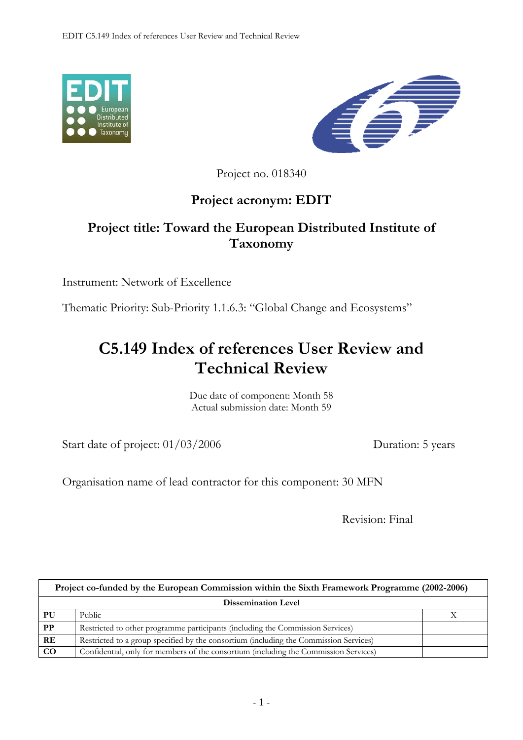



Project no. 018340

## **Project acronym: EDIT**

## **Project title: Toward the European Distributed Institute of Taxonomy**

Instrument: Network of Excellence

Thematic Priority: Sub-Priority 1.1.6.3: "Global Change and Ecosystems"

## **C5.149 Index of references User Review and Technical Review**

Due date of component: Month 58 Actual submission date: Month 59

Start date of project:  $01/03/2006$  Duration: 5 years

Organisation name of lead contractor for this component: 30 MFN

Revision: Final

| Project co-funded by the European Commission within the Sixth Framework Programme (2002-2006) |                                                                                       |  |
|-----------------------------------------------------------------------------------------------|---------------------------------------------------------------------------------------|--|
| <b>Dissemination Level</b>                                                                    |                                                                                       |  |
| PU                                                                                            | Public                                                                                |  |
| PP                                                                                            | Restricted to other programme participants (including the Commission Services)        |  |
| RE                                                                                            | Restricted to a group specified by the consortium (including the Commission Services) |  |
| CO                                                                                            | Confidential, only for members of the consortium (including the Commission Services)  |  |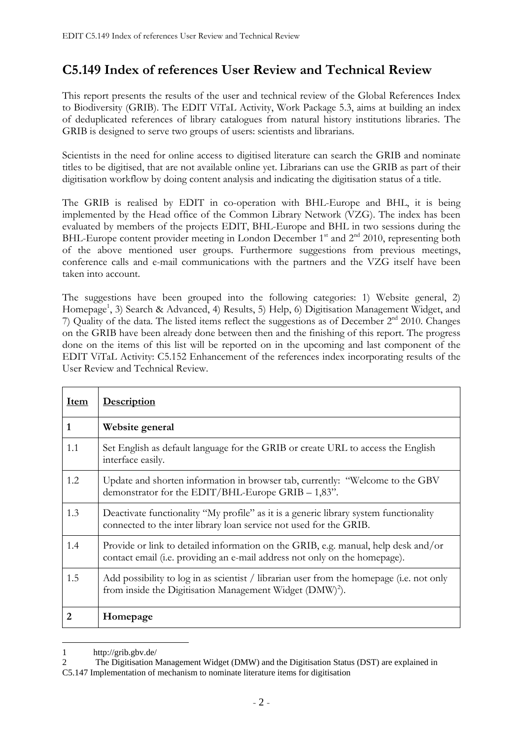## **C5.149 Index of references User Review and Technical Review**

This report presents the results of the user and technical review of the Global References Index to Biodiversity (GRIB). The EDIT ViTaL Activity, Work Package 5.3, aims at building an index of deduplicated references of library catalogues from natural history institutions libraries. The GRIB is designed to serve two groups of users: scientists and librarians.

Scientists in the need for online access to digitised literature can search the GRIB and nominate titles to be digitised, that are not available online yet. Librarians can use the GRIB as part of their digitisation workflow by doing content analysis and indicating the digitisation status of a title.

The GRIB is realised by EDIT in co-operation with BHL-Europe and BHL, it is being implemented by the Head office of the Common Library Network (VZG). The index has been evaluated by members of the projects EDIT, BHL-Europe and BHL in two sessions during the BHL-Europe content provider meeting in London December 1<sup>st</sup> and 2<sup>nd</sup> 2010, representing both of the above mentioned user groups. Furthermore suggestions from previous meetings, conference calls and e-mail communications with the partners and the VZG itself have been taken into account.

The suggestions have been grouped into the following categories: 1) Website general, 2) Homepage<sup>1</sup>, 3) Search & Advanced, 4) Results, 5) Help, 6) Digitisation Management Widget, and 7) Quality of the data. The listed items reflect the suggestions as of December  $2<sup>nd</sup>$  2010. Changes on the GRIB have been already done between then and the finishing of this report. The progress done on the items of this list will be reported on in the upcoming and last component of the EDIT ViTaL Activity: C5.152 Enhancement of the references index incorporating results of the User Review and Technical Review.

| <b>Item</b> | <b>Description</b>                                                                                                                                               |
|-------------|------------------------------------------------------------------------------------------------------------------------------------------------------------------|
| 1           | Website general                                                                                                                                                  |
| 1.1         | Set English as default language for the GRIB or create URL to access the English<br>interface easily.                                                            |
| 1.2         | Update and shorten information in browser tab, currently: "Welcome to the GBV<br>demonstrator for the EDIT/BHL-Europe GRIB - 1,83".                              |
| 1.3         | Deactivate functionality "My profile" as it is a generic library system functionality<br>connected to the inter library loan service not used for the GRIB.      |
| 1.4         | Provide or link to detailed information on the GRIB, e.g. manual, help desk and/or<br>contact email (i.e. providing an e-mail address not only on the homepage). |
| 1.5         | Add possibility to log in as scientist / librarian user from the homepage (i.e. not only<br>from inside the Digitisation Management Widget (DMW) <sup>2</sup> ). |
| 2           | Homepage                                                                                                                                                         |

<sup>1</sup> http://grib.gbv.de/

1

<sup>2</sup> The Digitisation Management Widget (DMW) and the Digitisation Status (DST) are explained in C5.147 Implementation of mechanism to nominate literature items for digitisation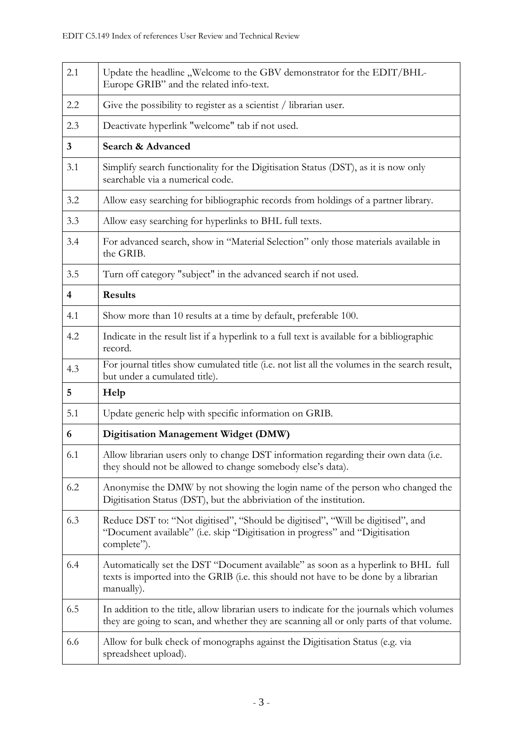| 2.1                     | Update the headline, Welcome to the GBV demonstrator for the EDIT/BHL-<br>Europe GRIB" and the related info-text.                                                                       |  |
|-------------------------|-----------------------------------------------------------------------------------------------------------------------------------------------------------------------------------------|--|
| 2.2                     | Give the possibility to register as a scientist / librarian user.                                                                                                                       |  |
| 2.3                     | Deactivate hyperlink "welcome" tab if not used.                                                                                                                                         |  |
| 3                       | Search & Advanced                                                                                                                                                                       |  |
| 3.1                     | Simplify search functionality for the Digitisation Status (DST), as it is now only<br>searchable via a numerical code.                                                                  |  |
| 3.2                     | Allow easy searching for bibliographic records from holdings of a partner library.                                                                                                      |  |
| 3.3                     | Allow easy searching for hyperlinks to BHL full texts.                                                                                                                                  |  |
| 3.4                     | For advanced search, show in "Material Selection" only those materials available in<br>the GRIB.                                                                                        |  |
| 3.5                     | Turn off category "subject" in the advanced search if not used.                                                                                                                         |  |
| $\overline{\mathbf{4}}$ | <b>Results</b>                                                                                                                                                                          |  |
| 4.1                     | Show more than 10 results at a time by default, preferable 100.                                                                                                                         |  |
| 4.2                     | Indicate in the result list if a hyperlink to a full text is available for a bibliographic<br>record.                                                                                   |  |
| 4.3                     | For journal titles show cumulated title (i.e. not list all the volumes in the search result,<br>but under a cumulated title).                                                           |  |
| 5                       | Help                                                                                                                                                                                    |  |
| 5.1                     | Update generic help with specific information on GRIB.                                                                                                                                  |  |
| 6                       | Digitisation Management Widget (DMW)                                                                                                                                                    |  |
| 6.1                     | Allow librarian users only to change DST information regarding their own data (i.e.<br>they should not be allowed to change somebody else's data).                                      |  |
| 6.2                     | Anonymise the DMW by not showing the login name of the person who changed the<br>Digitisation Status (DST), but the abbriviation of the institution.                                    |  |
| 6.3                     | Reduce DST to: "Not digitised", "Should be digitised", "Will be digitised", and<br>"Document available" (i.e. skip "Digitisation in progress" and "Digitisation<br>complete").          |  |
| 6.4                     | Automatically set the DST "Document available" as soon as a hyperlink to BHL full<br>texts is imported into the GRIB (i.e. this should not have to be done by a librarian<br>manually). |  |
| 6.5                     | In addition to the title, allow librarian users to indicate for the journals which volumes<br>they are going to scan, and whether they are scanning all or only parts of that volume.   |  |
| 6.6                     | Allow for bulk check of monographs against the Digitisation Status (e.g. via<br>spreadsheet upload).                                                                                    |  |